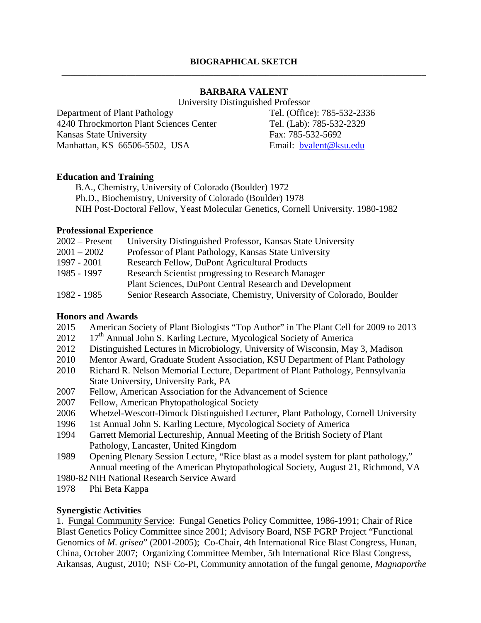### **BARBARA VALENT**

University Distinguished Professor

Department of Plant Pathology 4240 Throckmorton Plant Sciences Center Kansas State University Manhattan, KS 66506-5502, USA

Tel. (Office): 785-532-2336 Tel. (Lab): 785-532-2329 Fax: 785-532-5692 Email: [bvalent@ksu.edu](mailto:bvalent@ksu.edu)

#### **Education and Training**

B.A., Chemistry, University of Colorado (Boulder) 1972 Ph.D., Biochemistry, University of Colorado (Boulder) 1978 NIH Post-Doctoral Fellow, Yeast Molecular Genetics, Cornell University. 1980-1982

#### **Professional Experience**

| $2002$ – Present | University Distinguished Professor, Kansas State University           |
|------------------|-----------------------------------------------------------------------|
| $2001 - 2002$    | Professor of Plant Pathology, Kansas State University                 |
| 1997 - 2001      | Research Fellow, DuPont Agricultural Products                         |
| 1985 - 1997      | Research Scientist progressing to Research Manager                    |
|                  | Plant Sciences, DuPont Central Research and Development               |
| 1982 - 1985      | Senior Research Associate, Chemistry, University of Colorado, Boulder |

## **Honors and Awards**

- 2015 American Society of Plant Biologists "Top Author" in The Plant Cell for 2009 to 2013
- $2012$  17<sup>th</sup> Annual John S. Karling Lecture, Mycological Society of America
- 2012 Distinguished Lectures in Microbiology, University of Wisconsin, May 3, Madison
- 2010 Mentor Award, Graduate Student Association, KSU Department of Plant Pathology
- 2010 Richard R. Nelson Memorial Lecture, Department of Plant Pathology, Pennsylvania State University, University Park, PA
- 2007 Fellow, American Association for the Advancement of Science
- 2007 Fellow, American Phytopathological Society
- 2006 Whetzel-Wescott-Dimock Distinguished Lecturer, Plant Pathology, Cornell University
- 1996 1st Annual John S. Karling Lecture, Mycological Society of America
- 1994 Garrett Memorial Lectureship, Annual Meeting of the British Society of Plant Pathology, Lancaster, United Kingdom
- 1989 Opening Plenary Session Lecture, "Rice blast as a model system for plant pathology," Annual meeting of the American Phytopathological Society, August 21, Richmond, VA
- 1980-82 NIH National Research Service Award
- 1978 Phi Beta Kappa

## **Synergistic Activities**

1. Fungal Community Service: Fungal Genetics Policy Committee, 1986-1991; Chair of Rice Blast Genetics Policy Committee since 2001; Advisory Board, NSF PGRP Project "Functional Genomics of *M. grisea*" (2001-2005); Co-Chair, 4th International Rice Blast Congress, Hunan, China, October 2007; Organizing Committee Member, 5th International Rice Blast Congress, Arkansas, August, 2010; NSF Co-PI, Community annotation of the fungal genome, *Magnaporthe*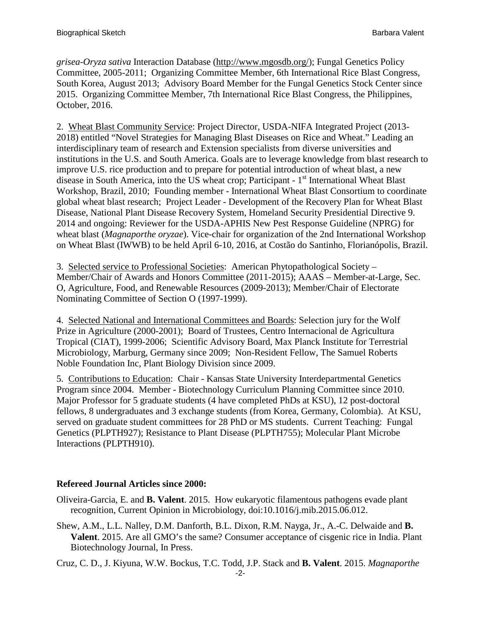*grisea-Oryza sativa* Interaction Database [\(http://www.mgosdb.org/\)](http://www.mgosdb.org/); Fungal Genetics Policy Committee, 2005-2011; Organizing Committee Member, 6th International Rice Blast Congress, South Korea, August 2013; Advisory Board Member for the Fungal Genetics Stock Center since 2015. Organizing Committee Member, 7th International Rice Blast Congress, the Philippines, October, 2016.

2. Wheat Blast Community Service: Project Director, USDA-NIFA Integrated Project (2013- 2018) entitled "Novel Strategies for Managing Blast Diseases on Rice and Wheat." Leading an interdisciplinary team of research and Extension specialists from diverse universities and institutions in the U.S. and South America. Goals are to leverage knowledge from blast research to improve U.S. rice production and to prepare for potential introduction of wheat blast, a new disease in South America, into the US wheat crop; Participant - 1<sup>st</sup> International Wheat Blast Workshop, Brazil, 2010; Founding member - International Wheat Blast Consortium to coordinate global wheat blast research; Project Leader - Development of the Recovery Plan for Wheat Blast Disease, National Plant Disease Recovery System, Homeland Security Presidential Directive 9. 2014 and ongoing: Reviewer for the USDA-APHIS New Pest Response Guideline (NPRG) for wheat blast (*Magnaporthe oryzae*). Vice-chair for organization of the 2nd International Workshop on Wheat Blast (IWWB) to be held April 6-10, 2016, at Costão do Santinho, Florianópolis, Brazil.

3. Selected service to Professional Societies: American Phytopathological Society – Member/Chair of Awards and Honors Committee (2011-2015); AAAS – Member-at-Large, Sec. O, Agriculture, Food, and Renewable Resources (2009-2013); Member/Chair of Electorate Nominating Committee of Section O (1997-1999).

4. Selected National and International Committees and Boards: Selection jury for the Wolf Prize in Agriculture (2000-2001); Board of Trustees, Centro Internacional de Agricultura Tropical (CIAT), 1999-2006; Scientific Advisory Board, Max Planck Institute for Terrestrial Microbiology, Marburg, Germany since 2009; Non-Resident Fellow, The Samuel Roberts Noble Foundation Inc, Plant Biology Division since 2009.

5. Contributions to Education: Chair - Kansas State University Interdepartmental Genetics Program since 2004. Member - Biotechnology Curriculum Planning Committee since 2010. Major Professor for 5 graduate students (4 have completed PhDs at KSU), 12 post-doctoral fellows, 8 undergraduates and 3 exchange students (from Korea, Germany, Colombia). At KSU, served on graduate student committees for 28 PhD or MS students. Current Teaching: Fungal Genetics (PLPTH927); Resistance to Plant Disease (PLPTH755); Molecular Plant Microbe Interactions (PLPTH910).

# **Refereed Journal Articles since 2000:**

- Oliveira-Garcia, E. and **B. Valent**. 2015. How eukaryotic filamentous pathogens evade plant recognition, Current Opinion in Microbiology, doi:10.1016/j.mib.2015.06.012.
- Shew, A.M., L.L. Nalley, D.M. Danforth, B.L. Dixon, R.M. Nayga, Jr., A.-C. Delwaide and **B. Valent**. 2015. Are all GMO's the same? Consumer acceptance of cisgenic rice in India. Plant Biotechnology Journal, In Press.

Cruz, C. D., J. Kiyuna, W.W. Bockus, T.C. Todd, J.P. Stack and **B. Valent**. 2015. *Magnaporthe*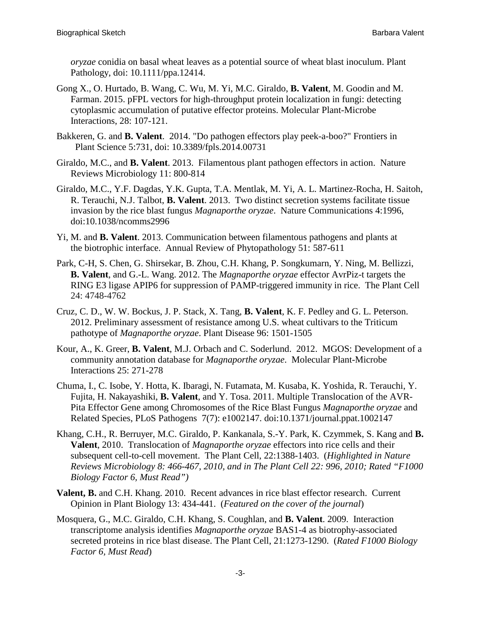*oryzae* conidia on basal wheat leaves as a potential source of wheat blast inoculum. Plant Pathology, doi: 10.1111/ppa.12414.

- Gong X., O. Hurtado, B. Wang, C. Wu, M. Yi, M.C. Giraldo, **B. Valent**, M. Goodin and M. Farman. 2015. pFPL vectors for high-throughput protein localization in fungi: detecting cytoplasmic accumulation of putative effector proteins. Molecular Plant-Microbe Interactions, 28: 107-121.
- Bakkeren, G. and **B. Valent**. 2014. "Do pathogen effectors play peek-a-boo?" Frontiers in Plant Science 5:731, doi: 10.3389/fpls.2014.00731
- Giraldo, M.C., and **B. Valent**. 2013. Filamentous plant pathogen effectors in action. Nature Reviews Microbiology 11: 800-814
- Giraldo, M.C., Y.F. Dagdas, Y.K. Gupta, T.A. Mentlak, M. Yi, A. L. Martinez-Rocha, H. Saitoh, R. Terauchi, N.J. Talbot, **B. Valent**. 2013. Two distinct secretion systems facilitate tissue invasion by the rice blast fungus *Magnaporthe oryzae*. Nature Communications 4:1996, doi:10.1038/ncomms2996
- Yi, M. and **B. Valent**. 2013. Communication between filamentous pathogens and plants at the biotrophic interface. Annual Review of Phytopathology 51: 587-611
- Park, C-H, S. Chen, G. Shirsekar, B. Zhou, C.H. Khang, P. Songkumarn, Y. Ning, M. Bellizzi, **B. Valent**, and G.-L. Wang. 2012. The *Magnaporthe oryzae* effector AvrPiz-t targets the RING E3 ligase APIP6 for suppression of PAMP-triggered immunity in rice. The Plant Cell 24: 4748-4762
- Cruz, C. D., W. W. Bockus, J. P. Stack, X. Tang, **B. Valent**, K. F. Pedley and G. L. Peterson. 2012. Preliminary assessment of resistance among U.S. wheat cultivars to the Triticum pathotype of *Magnaporthe oryzae*. Plant Disease 96: 1501-1505
- Kour, A., K. Greer, **B. Valent**, M.J. Orbach and C. Soderlund. 2012. MGOS: Development of a community annotation database for *Magnaporthe oryzae*. Molecular Plant-Microbe Interactions 25: 271-278
- Chuma, I., C. Isobe, Y. Hotta, K. Ibaragi, N. Futamata, M. Kusaba, K. Yoshida, R. Terauchi, Y. Fujita, H. Nakayashiki, **B. Valent**, and Y. Tosa. 2011. Multiple Translocation of the AVR-Pita Effector Gene among Chromosomes of the Rice Blast Fungus *Magnaporthe oryzae* and Related Species, PLoS Pathogens 7(7): e1002147. doi:10.1371/journal.ppat.1002147
- Khang, C.H., R. Berruyer, M.C. Giraldo, P. Kankanala, S.-Y. Park, K. Czymmek, S. Kang and **B. Valent**, 2010. Translocation of *Magnaporthe oryzae* effectors into rice cells and their subsequent cell-to-cell movement. The Plant Cell, 22:1388-1403. (*Highlighted in Nature Reviews Microbiology 8: 466-467, 2010, and in The Plant Cell 22: 996, 2010; Rated "F1000 Biology Factor 6, Must Read")*
- **Valent, B.** and C.H. Khang. 2010. Recent advances in rice blast effector research. Current Opinion in Plant Biology 13: 434-441. (*Featured on the cover of the journal*)
- Mosquera, G., M.C. Giraldo, C.H. Khang, S. Coughlan, and **B. Valent**. 2009. Interaction transcriptome analysis identifies *Magnaporthe oryzae* BAS1-4 as biotrophy-associated secreted proteins in rice blast disease. The Plant Cell, 21:1273-1290. (*Rated F1000 Biology Factor 6, Must Read*)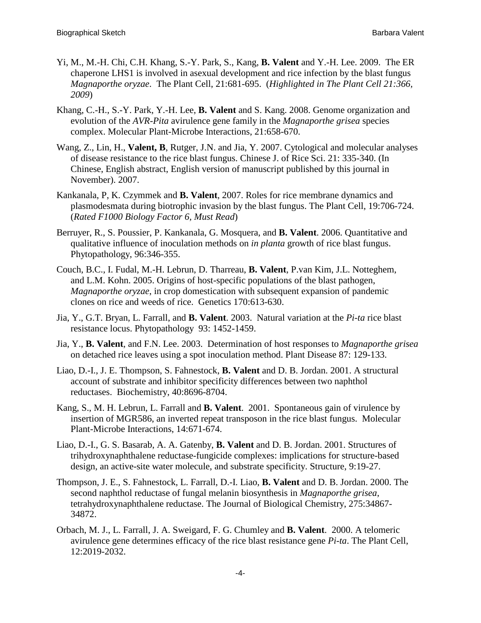- Yi, M., M.-H. Chi, C.H. Khang, S.-Y. Park, S., Kang, **B. Valent** and Y.-H. Lee. 2009. The ER chaperone LHS1 is involved in asexual development and rice infection by the blast fungus *Magnaporthe oryzae*. The Plant Cell, 21:681-695. (*Highlighted in The Plant Cell 21:366, 2009*)
- Khang, C.-H., S.-Y. Park, Y.-H. Lee, **B. Valent** and S. Kang. 2008. Genome organization and evolution of the *AVR-Pita* avirulence gene family in the *Magnaporthe grisea* species complex. Molecular Plant-Microbe Interactions, 21:658-670.
- Wang, Z., Lin, H., **Valent, B**, Rutger, J.N. and Jia, Y. 2007. Cytological and molecular analyses of disease resistance to the rice blast fungus. Chinese J. of Rice Sci. 21: 335-340. (In Chinese, English abstract, English version of manuscript published by this journal in November). 2007.
- Kankanala, P, K. Czymmek and **B. Valent**, 2007. Roles for rice membrane dynamics and plasmodesmata during biotrophic invasion by the blast fungus. The Plant Cell, 19:706-724. (*Rated F1000 Biology Factor 6, Must Read*)
- Berruyer, R., S. Poussier, P. Kankanala, G. Mosquera, and **B. Valent**. 2006. Quantitative and qualitative influence of inoculation methods on *in planta* growth of rice blast fungus. Phytopathology, 96:346-355.
- Couch, B.C., I. Fudal, M.-H. Lebrun, D. Tharreau, **B. Valent**, P.van Kim, J.L. Notteghem, and L.M. Kohn. 2005. Origins of host-specific populations of the blast pathogen, *Magnaporthe oryzae*, in crop domestication with subsequent expansion of pandemic clones on rice and weeds of rice. Genetics 170:613-630.
- Jia, Y., G.T. Bryan, L. Farrall, and **B. Valent**. 2003. Natural variation at the *Pi-ta* rice blast resistance locus. Phytopathology 93: 1452-1459.
- Jia, Y., **B. Valent**, and F.N. Lee. 2003. Determination of host responses to *Magnaporthe grisea* on detached rice leaves using a spot inoculation method. Plant Disease 87: 129-133.
- Liao, D.-I., J. E. Thompson, S. Fahnestock, **B. Valent** and D. B. Jordan. 2001. A structural account of substrate and inhibitor specificity differences between two naphthol reductases. Biochemistry, 40:8696-8704.
- Kang, S., M. H. Lebrun, L. Farrall and **B. Valent**. 2001. Spontaneous gain of virulence by insertion of MGR586, an inverted repeat transposon in the rice blast fungus. Molecular Plant-Microbe Interactions, 14:671-674.
- Liao, D.-I., G. S. Basarab, A. A. Gatenby, **B. Valent** and D. B. Jordan. 2001. Structures of trihydroxynaphthalene reductase-fungicide complexes: implications for structure-based design, an active-site water molecule, and substrate specificity. Structure, 9:19-27.
- Thompson, J. E., S. Fahnestock, L. Farrall, D.-I. Liao, **B. Valent** and D. B. Jordan. 2000. The second naphthol reductase of fungal melanin biosynthesis in *Magnaporthe grisea*, tetrahydroxynaphthalene reductase. The Journal of Biological Chemistry, 275:34867- 34872.
- Orbach, M. J., L. Farrall, J. A. Sweigard, F. G. Chumley and **B. Valent**. 2000. A telomeric avirulence gene determines efficacy of the rice blast resistance gene *Pi-ta*. The Plant Cell, 12:2019-2032.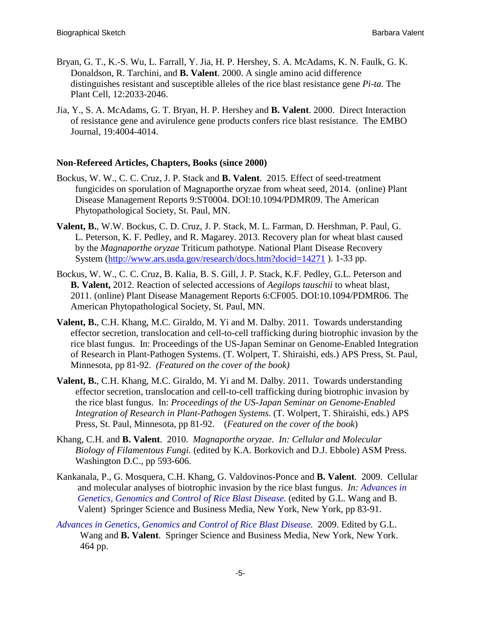- Bryan, G. T., K.-S. Wu, L. Farrall, Y. Jia, H. P. Hershey, S. A. McAdams, K. N. Faulk, G. K. Donaldson, R. Tarchini, and **B. Valent**. 2000. A single amino acid difference distinguishes resistant and susceptible alleles of the rice blast resistance gene *Pi-ta*. The Plant Cell, 12:2033-2046.
- Jia, Y., S. A. McAdams, G. T. Bryan, H. P. Hershey and **B. Valent**. 2000. Direct Interaction of resistance gene and avirulence gene products confers rice blast resistance. The EMBO Journal, 19:4004-4014.

#### **Non-Refereed Articles, Chapters, Books (since 2000)**

- Bockus, W. W., C. C. Cruz, J. P. Stack and **B. Valent**. 2015. Effect of seed-treatment fungicides on sporulation of Magnaporthe oryzae from wheat seed, 2014. (online) Plant Disease Management Reports 9:ST0004. DOI:10.1094/PDMR09. The American Phytopathological Society, St. Paul, MN.
- **Valent, B.**, W.W. Bockus, C. D. Cruz, J. P. Stack, M. L. Farman, D. Hershman, P. Paul, G. L. Peterson, K. F. Pedley, and R. Magarey. 2013. Recovery plan for wheat blast caused by the *Magnaporthe oryzae* Triticum pathotype. National Plant Disease Recovery System [\(http://www.ars.usda.gov/research/docs.htm?docid=14271](http://www.ars.usda.gov/research/docs.htm?docid=14271) ). 1-33 pp.
- Bockus, W. W., C. C. Cruz, B. Kalia, B. S. Gill, J. P. Stack, K.F. Pedley, G.L. Peterson and **B. Valent,** 2012. Reaction of selected accessions of *Aegilops tauschii* to wheat blast, 2011. (online) Plant Disease Management Reports 6:CF005. DOI:10.1094/PDMR06. The American Phytopathological Society, St. Paul, MN.
- **Valent, B.**, C.H. Khang, M.C. Giraldo, M. Yi and M. Dalby. 2011. Towards understanding effector secretion, translocation and cell-to-cell trafficking during biotrophic invasion by the rice blast fungus. In: Proceedings of the US-Japan Seminar on Genome-Enabled Integration of Research in Plant-Pathogen Systems. (T. Wolpert, T. Shiraishi, eds.) APS Press, St. Paul, Minnesota, pp 81-92. *(Featured on the cover of the book)*
- **Valent, B.**, C.H. Khang, M.C. Giraldo, M. Yi and M. Dalby. 2011. Towards understanding effector secretion, translocation and cell-to-cell trafficking during biotrophic invasion by the rice blast fungus. In: *Proceedings of the US-Japan Seminar on Genome-Enabled Integration of Research in Plant-Pathogen Systems*. (T. Wolpert, T. Shiraishi, eds.) APS Press, St. Paul, Minnesota, pp 81-92. (*Featured on the cover of the book*)
- Khang, C.H. and **B. Valent**. 2010. *Magnaporthe oryzae*. *In: Cellular and Molecular Biology of Filamentous Fungi*. (edited by K.A. Borkovich and D.J. Ebbole) ASM Press. Washington D.C., pp 593-606.
- Kankanala, P., G. Mosquera, C.H. Khang, G. Valdovinos-Ponce and **B. Valent**. 2009. Cellular and molecular analyses of biotrophic invasion by the rice blast fungus. *In: Advances in Genetics, Genomics and Control of Rice Blast Disease.* (edited by G.L. Wang and B. Valent) Springer Science and Business Media, New York, New York, pp 83-91.
- *Advances in Genetics, Genomics and Control of Rice Blast Disease.* 2009. Edited by G.L. Wang and **B. Valent**. Springer Science and Business Media, New York, New York. 464 pp.